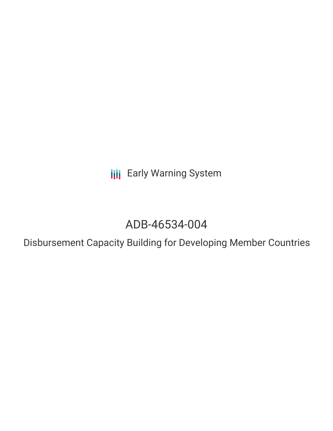**III** Early Warning System

# ADB-46534-004

Disbursement Capacity Building for Developing Member Countries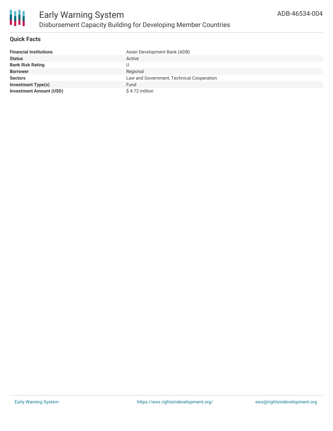

# **Quick Facts**

| <b>Financial Institutions</b>  | Asian Development Bank (ADB)              |
|--------------------------------|-------------------------------------------|
| <b>Status</b>                  | Active                                    |
| <b>Bank Risk Rating</b>        | U                                         |
| <b>Borrower</b>                | Regional                                  |
| <b>Sectors</b>                 | Law and Government, Technical Cooperation |
| <b>Investment Type(s)</b>      | Fund                                      |
| <b>Investment Amount (USD)</b> | \$4.72 million                            |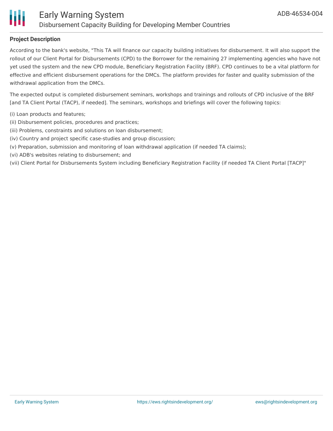

# **Project Description**

According to the bank's website, "This TA will finance our capacity building initiatives for disbursement. It will also support the rollout of our Client Portal for Disbursements (CPD) to the Borrower for the remaining 27 implementing agencies who have not yet used the system and the new CPD module, Beneficiary Registration Facility (BRF). CPD continues to be a vital platform for effective and efficient disbursement operations for the DMCs. The platform provides for faster and quality submission of the withdrawal application from the DMCs.

The expected output is completed disbursement seminars, workshops and trainings and rollouts of CPD inclusive of the BRF [and TA Client Portal (TACP), if needed]. The seminars, workshops and briefings will cover the following topics:

- (i) Loan products and features;
- (ii) Disbursement policies, procedures and practices;
- (iii) Problems, constraints and solutions on loan disbursement;
- (iv) Country and project specific case-studies and group discussion;
- (v) Preparation, submission and monitoring of loan withdrawal application (if needed TA claims);
- (vi) ADB's websites relating to disbursement; and
- (vii) Client Portal for Disbursements System including Beneficiary Registration Facility (if needed TA Client Portal [TACP]"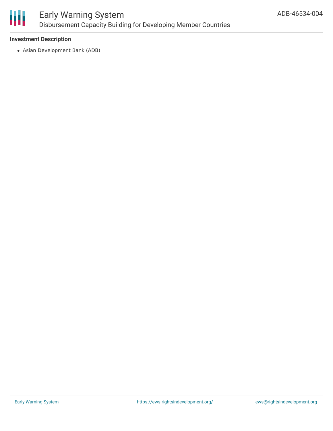

# **Investment Description**

Asian Development Bank (ADB)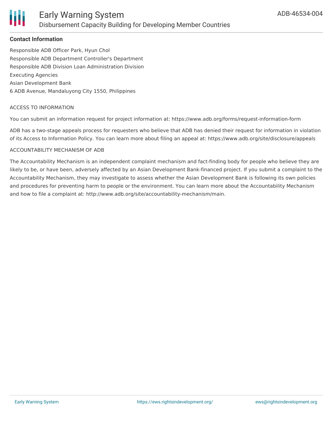

# **Contact Information**

Responsible ADB Officer Park, Hyun Chol Responsible ADB Department Controller's Department Responsible ADB Division Loan Administration Division Executing Agencies Asian Development Bank 6 ADB Avenue, Mandaluyong City 1550, Philippines

#### ACCESS TO INFORMATION

You can submit an information request for project information at: https://www.adb.org/forms/request-information-form

ADB has a two-stage appeals process for requesters who believe that ADB has denied their request for information in violation of its Access to Information Policy. You can learn more about filing an appeal at: https://www.adb.org/site/disclosure/appeals

#### ACCOUNTABILITY MECHANISM OF ADB

The Accountability Mechanism is an independent complaint mechanism and fact-finding body for people who believe they are likely to be, or have been, adversely affected by an Asian Development Bank-financed project. If you submit a complaint to the Accountability Mechanism, they may investigate to assess whether the Asian Development Bank is following its own policies and procedures for preventing harm to people or the environment. You can learn more about the Accountability Mechanism and how to file a complaint at: http://www.adb.org/site/accountability-mechanism/main.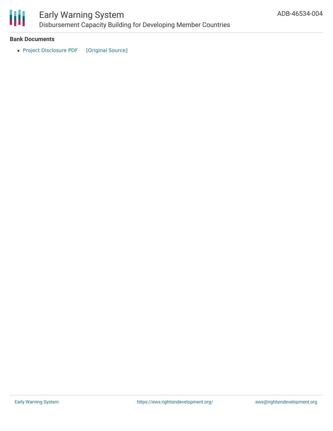

# Early Warning System Disbursement Capacity Building for Developing Member Countries

### **Bank Documents**

• Project [Disclosure](https://ewsdata.rightsindevelopment.org/files/documents/04/ADB-46534-004.pdf) PDF [\[Original](https://www.adb.org/printpdf/projects/46534-004/main) Source]